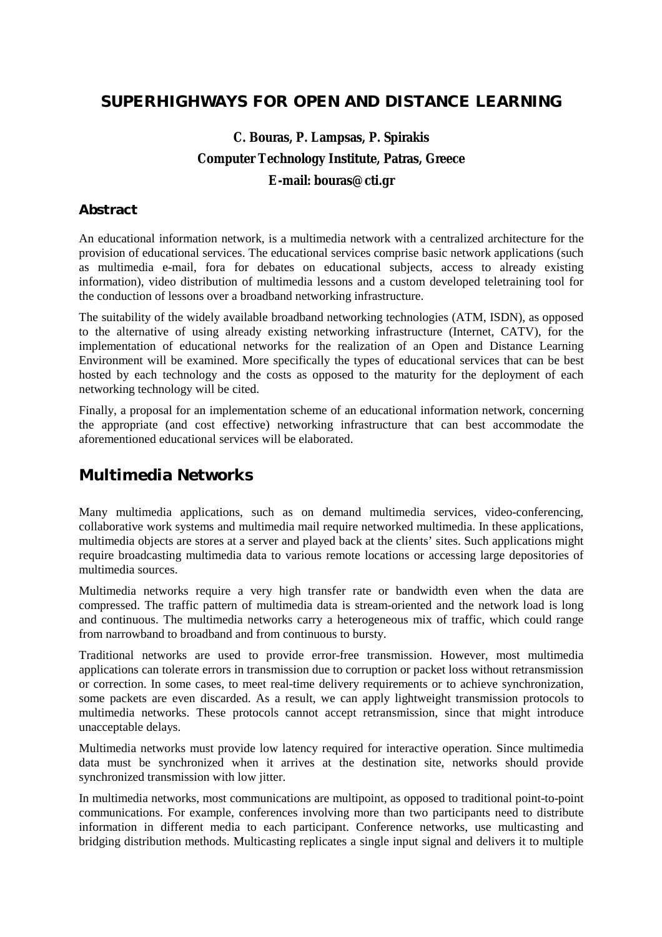### **SUPERHIGHWAYS FOR OPEN AND DISTANCE LEARNING**

# **C. Bouras, P. Lampsas, P. Spirakis Computer Technology Institute, Patras, Greece E-mail: bouras@cti.gr**

### **Abstract**

An educational information network, is a multimedia network with a centralized architecture for the provision of educational services. The educational services comprise basic network applications (such as multimedia e-mail, fora for debates on educational subjects, access to already existing information), video distribution of multimedia lessons and a custom developed teletraining tool for the conduction of lessons over a broadband networking infrastructure.

The suitability of the widely available broadband networking technologies (ATM, ISDN), as opposed to the alternative of using already existing networking infrastructure (Internet, CATV), for the implementation of educational networks for the realization of an Open and Distance Learning Environment will be examined. More specifically the types of educational services that can be best hosted by each technology and the costs as opposed to the maturity for the deployment of each networking technology will be cited.

Finally, a proposal for an implementation scheme of an educational information network, concerning the appropriate (and cost effective) networking infrastructure that can best accommodate the aforementioned educational services will be elaborated.

## **Multimedia Networks**

Many multimedia applications, such as on demand multimedia services, video-conferencing, collaborative work systems and multimedia mail require networked multimedia. In these applications, multimedia objects are stores at a server and played back at the clients' sites. Such applications might require broadcasting multimedia data to various remote locations or accessing large depositories of multimedia sources.

Multimedia networks require a very high transfer rate or bandwidth even when the data are compressed. The traffic pattern of multimedia data is stream-oriented and the network load is long and continuous. The multimedia networks carry a heterogeneous mix of traffic, which could range from narrowband to broadband and from continuous to bursty.

Traditional networks are used to provide error-free transmission. However, most multimedia applications can tolerate errors in transmission due to corruption or packet loss without retransmission or correction. In some cases, to meet real-time delivery requirements or to achieve synchronization, some packets are even discarded. As a result, we can apply lightweight transmission protocols to multimedia networks. These protocols cannot accept retransmission, since that might introduce unacceptable delays.

Multimedia networks must provide low latency required for interactive operation. Since multimedia data must be synchronized when it arrives at the destination site, networks should provide synchronized transmission with low jitter.

In multimedia networks, most communications are multipoint, as opposed to traditional point-to-point communications. For example, conferences involving more than two participants need to distribute information in different media to each participant. Conference networks, use multicasting and bridging distribution methods. Multicasting replicates a single input signal and delivers it to multiple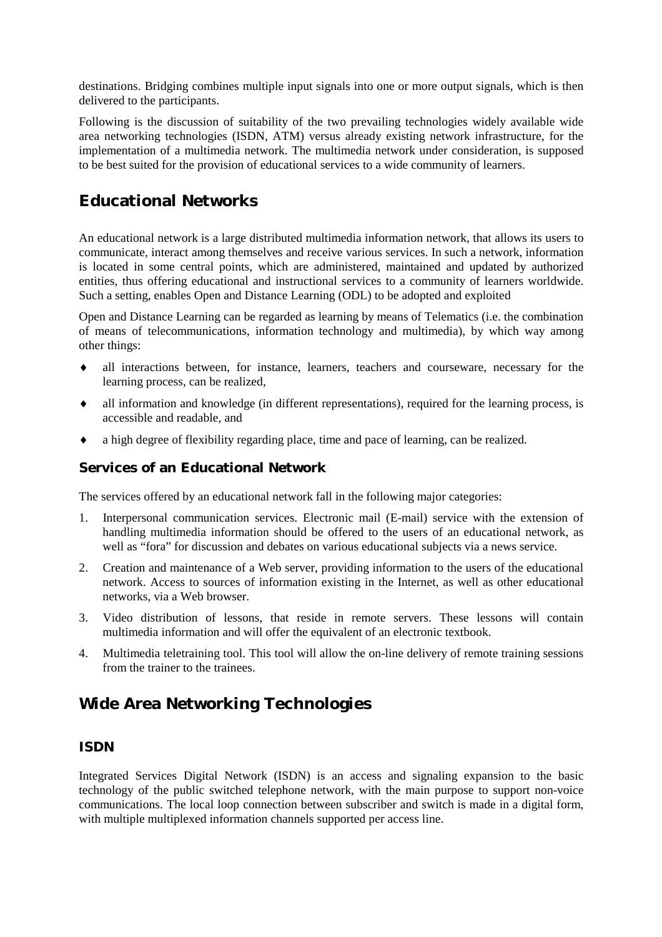destinations. Bridging combines multiple input signals into one or more output signals, which is then delivered to the participants.

Following is the discussion of suitability of the two prevailing technologies widely available wide area networking technologies (ISDN, ATM) versus already existing network infrastructure, for the implementation of a multimedia network. The multimedia network under consideration, is supposed to be best suited for the provision of educational services to a wide community of learners.

## **Educational Networks**

An educational network is a large distributed multimedia information network, that allows its users to communicate, interact among themselves and receive various services. In such a network, information is located in some central points, which are administered, maintained and updated by authorized entities, thus offering educational and instructional services to a community of learners worldwide. Such a setting, enables Open and Distance Learning (ODL) to be adopted and exploited

Open and Distance Learning can be regarded as learning by means of Telematics (i.e. the combination of means of telecommunications, information technology and multimedia), by which way among other things:

- ♦ all interactions between, for instance, learners, teachers and courseware, necessary for the learning process, can be realized,
- ♦ all information and knowledge (in different representations), required for the learning process, is accessible and readable, and
- ♦ a high degree of flexibility regarding place, time and pace of learning, can be realized.

### **Services of an Educational Network**

The services offered by an educational network fall in the following major categories:

- 1. Interpersonal communication services. Electronic mail (E-mail) service with the extension of handling multimedia information should be offered to the users of an educational network, as well as "fora" for discussion and debates on various educational subjects via a news service.
- 2. Creation and maintenance of a Web server, providing information to the users of the educational network. Access to sources of information existing in the Internet, as well as other educational networks, via a Web browser.
- 3. Video distribution of lessons, that reside in remote servers. These lessons will contain multimedia information and will offer the equivalent of an electronic textbook.
- 4. Multimedia teletraining tool. This tool will allow the on-line delivery of remote training sessions from the trainer to the trainees.

## **Wide Area Networking Technologies**

#### **ISDN**

Integrated Services Digital Network (ISDN) is an access and signaling expansion to the basic technology of the public switched telephone network, with the main purpose to support non-voice communications. The local loop connection between subscriber and switch is made in a digital form, with multiple multiplexed information channels supported per access line.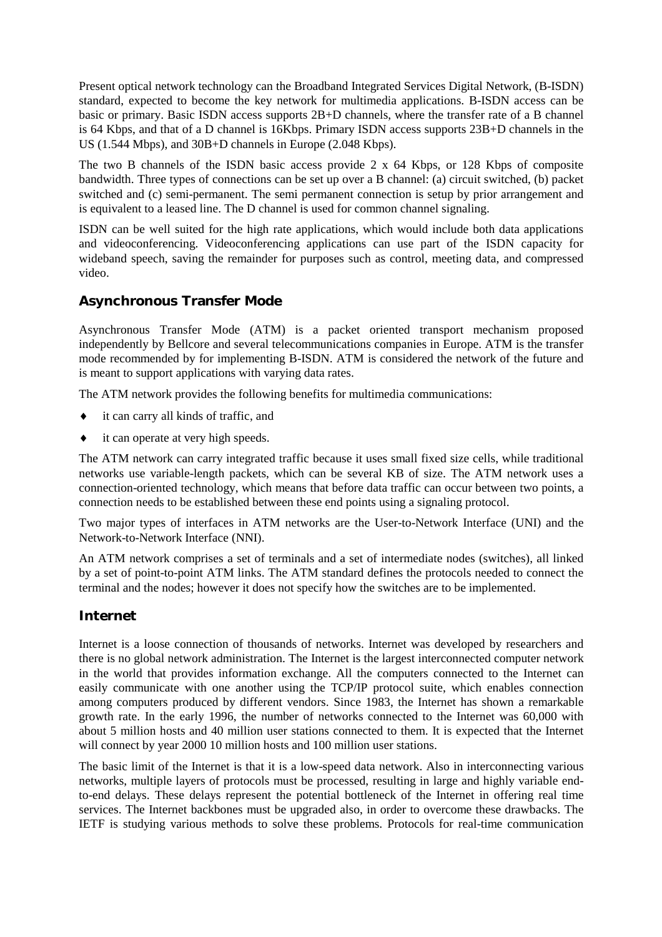Present optical network technology can the Broadband Integrated Services Digital Network, (B-ISDN) standard, expected to become the key network for multimedia applications. B-ISDN access can be basic or primary. Basic ISDN access supports 2B+D channels, where the transfer rate of a B channel is 64 Kbps, and that of a D channel is 16Kbps. Primary ISDN access supports 23B+D channels in the US (1.544 Mbps), and 30B+D channels in Europe (2.048 Kbps).

The two B channels of the ISDN basic access provide 2 x 64 Kbps, or 128 Kbps of composite bandwidth. Three types of connections can be set up over a B channel: (a) circuit switched, (b) packet switched and (c) semi-permanent. The semi permanent connection is setup by prior arrangement and is equivalent to a leased line. The D channel is used for common channel signaling.

ISDN can be well suited for the high rate applications, which would include both data applications and videoconferencing. Videoconferencing applications can use part of the ISDN capacity for wideband speech, saving the remainder for purposes such as control, meeting data, and compressed video.

### **Asynchronous Transfer Mode**

Asynchronous Transfer Mode (ATM) is a packet oriented transport mechanism proposed independently by Bellcore and several telecommunications companies in Europe. ATM is the transfer mode recommended by for implementing B-ISDN. ATM is considered the network of the future and is meant to support applications with varying data rates.

The ATM network provides the following benefits for multimedia communications:

- it can carry all kinds of traffic, and
- it can operate at very high speeds.

The ATM network can carry integrated traffic because it uses small fixed size cells, while traditional networks use variable-length packets, which can be several KB of size. The ATM network uses a connection-oriented technology, which means that before data traffic can occur between two points, a connection needs to be established between these end points using a signaling protocol.

Two major types of interfaces in ATM networks are the User-to-Network Interface (UNI) and the Network-to-Network Interface (NNI).

An ATM network comprises a set of terminals and a set of intermediate nodes (switches), all linked by a set of point-to-point ATM links. The ATM standard defines the protocols needed to connect the terminal and the nodes; however it does not specify how the switches are to be implemented.

### **Internet**

Internet is a loose connection of thousands of networks. Internet was developed by researchers and there is no global network administration. The Internet is the largest interconnected computer network in the world that provides information exchange. All the computers connected to the Internet can easily communicate with one another using the TCP/IP protocol suite, which enables connection among computers produced by different vendors. Since 1983, the Internet has shown a remarkable growth rate. In the early 1996, the number of networks connected to the Internet was 60,000 with about 5 million hosts and 40 million user stations connected to them. It is expected that the Internet will connect by year 2000 10 million hosts and 100 million user stations.

The basic limit of the Internet is that it is a low-speed data network. Also in interconnecting various networks, multiple layers of protocols must be processed, resulting in large and highly variable endto-end delays. These delays represent the potential bottleneck of the Internet in offering real time services. The Internet backbones must be upgraded also, in order to overcome these drawbacks. The IETF is studying various methods to solve these problems. Protocols for real-time communication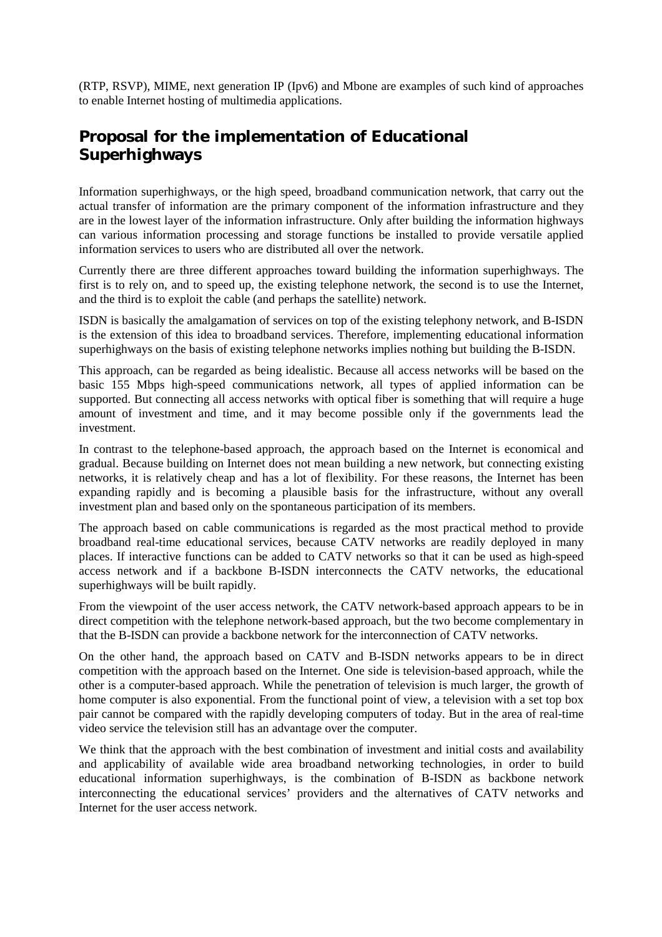(RTP, RSVP), MIME, next generation IP (Ipv6) and Mbone are examples of such kind of approaches to enable Internet hosting of multimedia applications.

## **Proposal for the implementation of Educational Superhighways**

Information superhighways, or the high speed, broadband communication network, that carry out the actual transfer of information are the primary component of the information infrastructure and they are in the lowest layer of the information infrastructure. Only after building the information highways can various information processing and storage functions be installed to provide versatile applied information services to users who are distributed all over the network.

Currently there are three different approaches toward building the information superhighways. The first is to rely on, and to speed up, the existing telephone network, the second is to use the Internet, and the third is to exploit the cable (and perhaps the satellite) network.

ISDN is basically the amalgamation of services on top of the existing telephony network, and B-ISDN is the extension of this idea to broadband services. Therefore, implementing educational information superhighways on the basis of existing telephone networks implies nothing but building the B-ISDN.

This approach, can be regarded as being idealistic. Because all access networks will be based on the basic 155 Mbps high-speed communications network, all types of applied information can be supported. But connecting all access networks with optical fiber is something that will require a huge amount of investment and time, and it may become possible only if the governments lead the investment.

In contrast to the telephone-based approach, the approach based on the Internet is economical and gradual. Because building on Internet does not mean building a new network, but connecting existing networks, it is relatively cheap and has a lot of flexibility. For these reasons, the Internet has been expanding rapidly and is becoming a plausible basis for the infrastructure, without any overall investment plan and based only on the spontaneous participation of its members.

The approach based on cable communications is regarded as the most practical method to provide broadband real-time educational services, because CATV networks are readily deployed in many places. If interactive functions can be added to CATV networks so that it can be used as high-speed access network and if a backbone B-ISDN interconnects the CATV networks, the educational superhighways will be built rapidly.

From the viewpoint of the user access network, the CATV network-based approach appears to be in direct competition with the telephone network-based approach, but the two become complementary in that the B-ISDN can provide a backbone network for the interconnection of CATV networks.

On the other hand, the approach based on CATV and B-ISDN networks appears to be in direct competition with the approach based on the Internet. One side is television-based approach, while the other is a computer-based approach. While the penetration of television is much larger, the growth of home computer is also exponential. From the functional point of view, a television with a set top box pair cannot be compared with the rapidly developing computers of today. But in the area of real-time video service the television still has an advantage over the computer.

We think that the approach with the best combination of investment and initial costs and availability and applicability of available wide area broadband networking technologies, in order to build educational information superhighways, is the combination of B-ISDN as backbone network interconnecting the educational services' providers and the alternatives of CATV networks and Internet for the user access network.